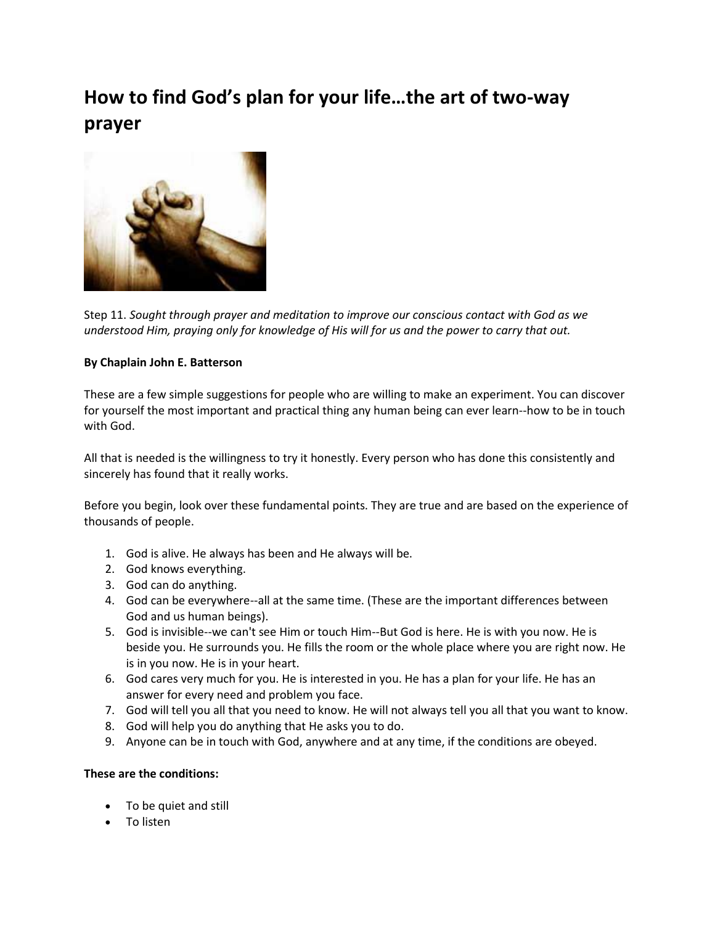# **How to find God's plan for your life…the art of two-way prayer**



Step 11. *Sought through prayer and meditation to improve our conscious contact with God as we understood Him, praying only for knowledge of His will for us and the power to carry that out.*

# **By Chaplain John E. Batterson**

These are a few simple suggestions for people who are willing to make an experiment. You can discover for yourself the most important and practical thing any human being can ever learn--how to be in touch with God.

All that is needed is the willingness to try it honestly. Every person who has done this consistently and sincerely has found that it really works.

Before you begin, look over these fundamental points. They are true and are based on the experience of thousands of people.

- 1. God is alive. He always has been and He always will be.
- 2. God knows everything.
- 3. God can do anything.
- 4. God can be everywhere--all at the same time. (These are the important differences between God and us human beings).
- 5. God is invisible--we can't see Him or touch Him--But God is here. He is with you now. He is beside you. He surrounds you. He fills the room or the whole place where you are right now. He is in you now. He is in your heart.
- 6. God cares very much for you. He is interested in you. He has a plan for your life. He has an answer for every need and problem you face.
- 7. God will tell you all that you need to know. He will not always tell you all that you want to know.
- 8. God will help you do anything that He asks you to do.
- 9. Anyone can be in touch with God, anywhere and at any time, if the conditions are obeyed.

## **These are the conditions:**

- To be quiet and still
- To listen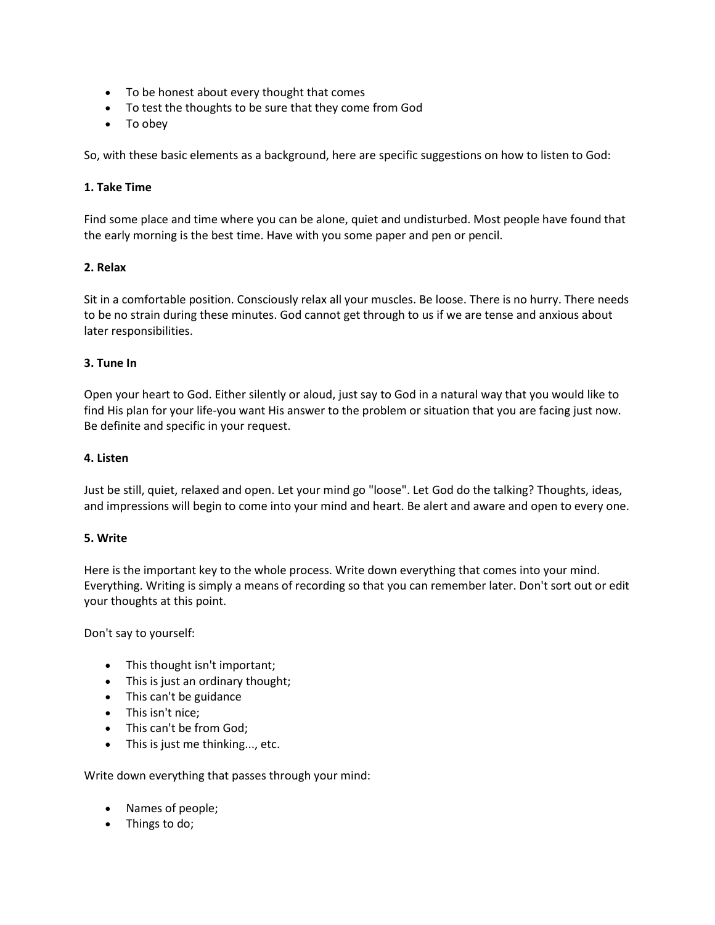- To be honest about every thought that comes
- To test the thoughts to be sure that they come from God
- To obey

So, with these basic elements as a background, here are specific suggestions on how to listen to God:

## **1. Take Time**

Find some place and time where you can be alone, quiet and undisturbed. Most people have found that the early morning is the best time. Have with you some paper and pen or pencil.

#### **2. Relax**

Sit in a comfortable position. Consciously relax all your muscles. Be loose. There is no hurry. There needs to be no strain during these minutes. God cannot get through to us if we are tense and anxious about later responsibilities.

#### **3. Tune In**

Open your heart to God. Either silently or aloud, just say to God in a natural way that you would like to find His plan for your life-you want His answer to the problem or situation that you are facing just now. Be definite and specific in your request.

#### **4. Listen**

Just be still, quiet, relaxed and open. Let your mind go "loose". Let God do the talking? Thoughts, ideas, and impressions will begin to come into your mind and heart. Be alert and aware and open to every one.

## **5. Write**

Here is the important key to the whole process. Write down everything that comes into your mind. Everything. Writing is simply a means of recording so that you can remember later. Don't sort out or edit your thoughts at this point.

Don't say to yourself:

- This thought isn't important;
- This is just an ordinary thought;
- This can't be guidance
- This isn't nice;
- This can't be from God;
- This is just me thinking..., etc.

Write down everything that passes through your mind:

- Names of people;
- Things to do;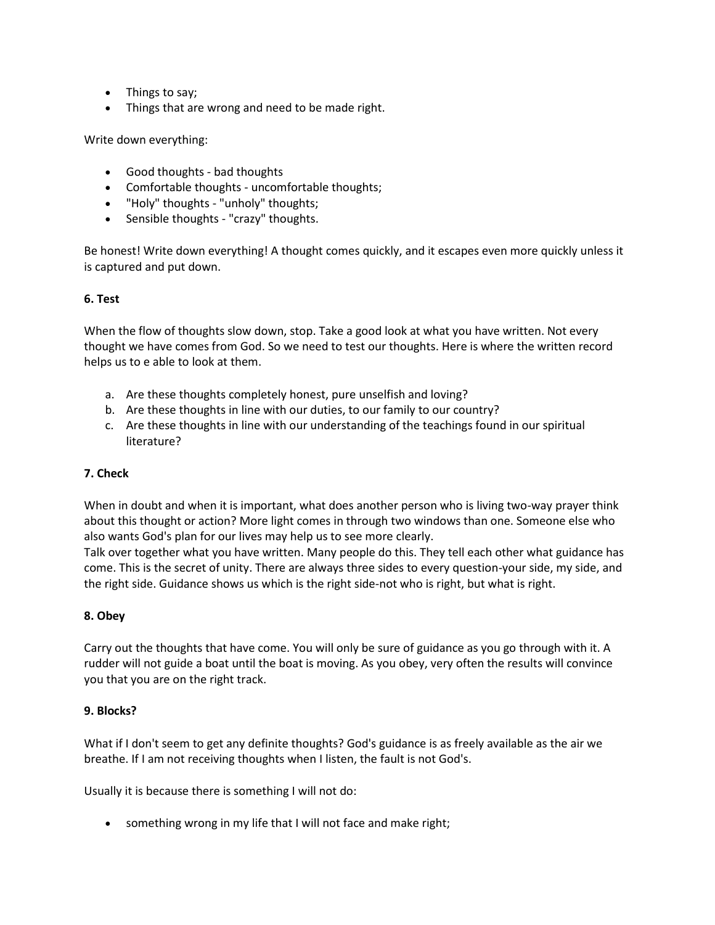- Things to say;
- Things that are wrong and need to be made right.

Write down everything:

- Good thoughts bad thoughts
- Comfortable thoughts uncomfortable thoughts;
- "Holy" thoughts "unholy" thoughts;
- Sensible thoughts "crazy" thoughts.

Be honest! Write down everything! A thought comes quickly, and it escapes even more quickly unless it is captured and put down.

## **6. Test**

When the flow of thoughts slow down, stop. Take a good look at what you have written. Not every thought we have comes from God. So we need to test our thoughts. Here is where the written record helps us to e able to look at them.

- a. Are these thoughts completely honest, pure unselfish and loving?
- b. Are these thoughts in line with our duties, to our family to our country?
- c. Are these thoughts in line with our understanding of the teachings found in our spiritual literature?

## **7. Check**

When in doubt and when it is important, what does another person who is living two-way prayer think about this thought or action? More light comes in through two windows than one. Someone else who also wants God's plan for our lives may help us to see more clearly.

Talk over together what you have written. Many people do this. They tell each other what guidance has come. This is the secret of unity. There are always three sides to every question-your side, my side, and the right side. Guidance shows us which is the right side-not who is right, but what is right.

## **8. Obey**

Carry out the thoughts that have come. You will only be sure of guidance as you go through with it. A rudder will not guide a boat until the boat is moving. As you obey, very often the results will convince you that you are on the right track.

## **9. Blocks?**

What if I don't seem to get any definite thoughts? God's guidance is as freely available as the air we breathe. If I am not receiving thoughts when I listen, the fault is not God's.

Usually it is because there is something I will not do:

• something wrong in my life that I will not face and make right;